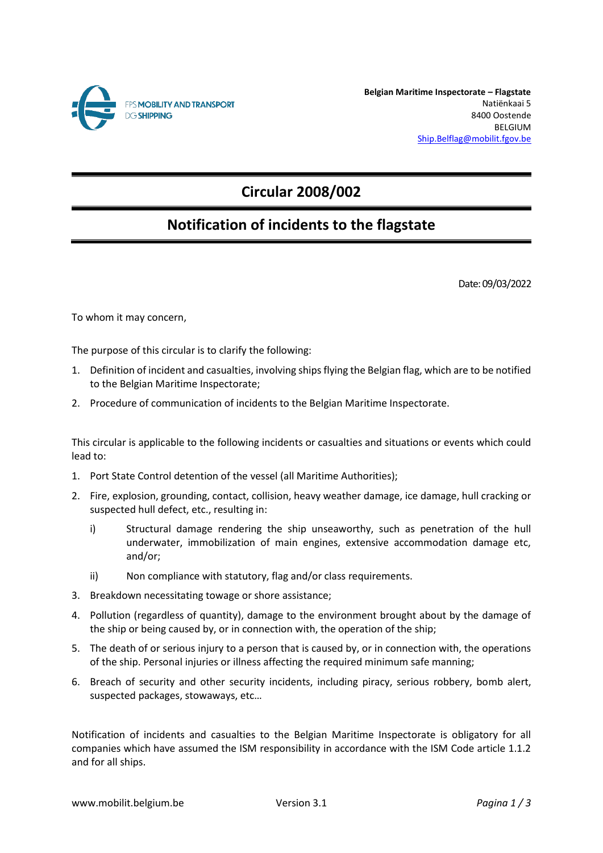

**Belgian Maritime Inspectorate – Flagstate** Natiënkaai 5 8400 Oostende BELGIUM [Ship.Belflag@mobilit.fgov.be](mailto:Ship.Belflag@mobilit.fgov.be)

# **Circular 2008/002**

## **Notification of incidents to the flagstate**

Date: 09/03/2022

To whom it may concern,

The purpose of this circular is to clarify the following:

- 1. Definition of incident and casualties, involving ships flying the Belgian flag, which are to be notified to the Belgian Maritime Inspectorate;
- 2. Procedure of communication of incidents to the Belgian Maritime Inspectorate.

This circular is applicable to the following incidents or casualties and situations or events which could lead to:

- 1. Port State Control detention of the vessel (all Maritime Authorities);
- 2. Fire, explosion, grounding, contact, collision, heavy weather damage, ice damage, hull cracking or suspected hull defect, etc., resulting in:
	- i) Structural damage rendering the ship unseaworthy, such as penetration of the hull underwater, immobilization of main engines, extensive accommodation damage etc, and/or;
	- ii) Non compliance with statutory, flag and/or class requirements.
- 3. Breakdown necessitating towage or shore assistance;
- 4. Pollution (regardless of quantity), damage to the environment brought about by the damage of the ship or being caused by, or in connection with, the operation of the ship;
- 5. The death of or serious injury to a person that is caused by, or in connection with, the operations of the ship. Personal injuries or illness affecting the required minimum safe manning;
- 6. Breach of security and other security incidents, including piracy, serious robbery, bomb alert, suspected packages, stowaways, etc…

Notification of incidents and casualties to the Belgian Maritime Inspectorate is obligatory for all companies which have assumed the ISM responsibility in accordance with the ISM Code article 1.1.2 and for all ships.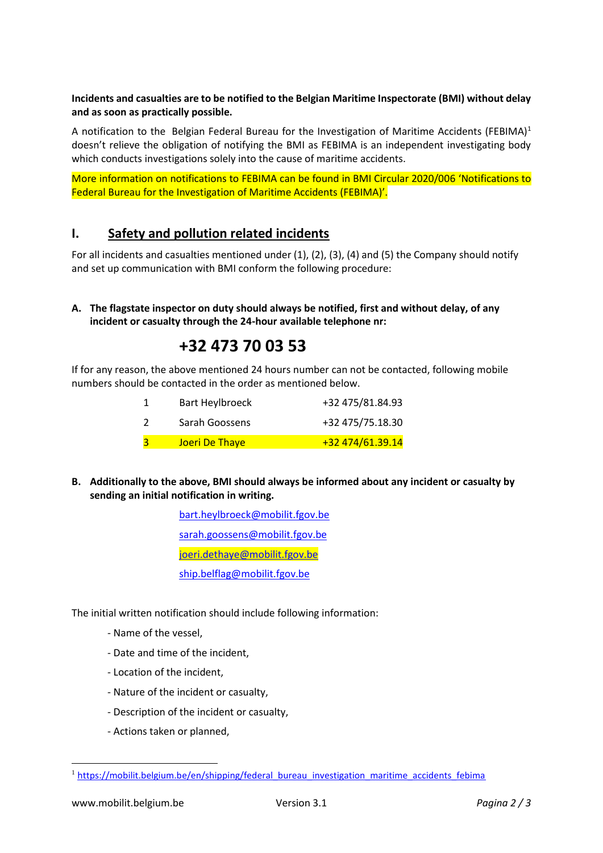### **Incidents and casualties are to be notified to the Belgian Maritime Inspectorate (BMI) without delay and as soon as practically possible.**

A notification to the Belgian Federal Bureau for the Investigation of Maritime Accidents (FEBIMA)<sup>1</sup> doesn't relieve the obligation of notifying the BMI as FEBIMA is an independent investigating body which conducts investigations solely into the cause of maritime accidents.

More information on notifications to FEBIMA can be found in BMI Circular 2020/006 'Notifications to Federal Bureau for the Investigation of Maritime Accidents (FEBIMA)'.

## **I. Safety and pollution related incidents**

For all incidents and casualties mentioned under (1), (2), (3), (4) and (5) the Company should notify and set up communication with BMI conform the following procedure:

### **A. The flagstate inspector on duty should always be notified, first and without delay, of any incident or casualty through the 24-hour available telephone nr:**

## **+32 473 70 03 53**

If for any reason, the above mentioned 24 hours number can not be contacted, following mobile numbers should be contacted in the order as mentioned below.

| Bart Heylbroeck | +32 475/81.84.93 |
|-----------------|------------------|
| Sarah Goossens  | +32 475/75.18.30 |
| Joeri De Thaye  | +32 474/61.39.14 |

**B. Additionally to the above, BMI should always be informed about any incident or casualty by sending an initial notification in writing.**

> [bart.heylbroeck@mobilit.fgov.be](mailto:bart.heylbroeck@mobilit.fgov.be) [sarah.goossens@mobilit.fgov.be](mailto:sarah.goossens@mobilit.fgov.be) [joeri.dethaye@mobilit.fgov.be](mailto:joeri.dethaye@mobilit.fgov.be) [ship.belflag@mobilit.fgov.be](mailto:ship.belflag@mobilit.fgov.be)

The initial written notification should include following information:

- Name of the vessel,
- Date and time of the incident,
- Location of the incident,
- Nature of the incident or casualty,
- Description of the incident or casualty,
- Actions taken or planned,

<sup>&</sup>lt;sup>1</sup> [https://mobilit.belgium.be/en/shipping/federal\\_bureau\\_investigation\\_maritime\\_accidents\\_febima](https://mobilit.belgium.be/en/shipping/federal_bureau_investigation_maritime_accidents_febima)